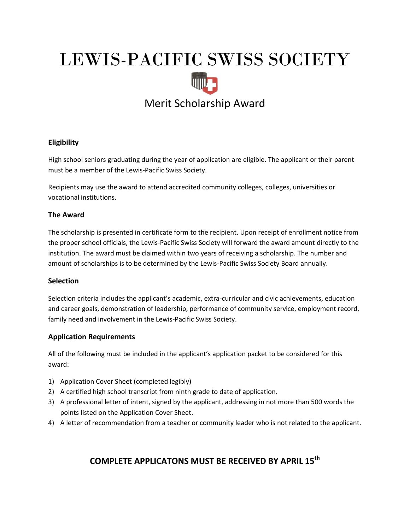# LEWIS-PACIFIC SWISS SOCIETY Merit Scholarship Award

## **Eligibility**

High school seniors graduating during the year of application are eligible. The applicant or their parent must be a member of the Lewis-Pacific Swiss Society.

Recipients may use the award to attend accredited community colleges, colleges, universities or vocational institutions.

#### **The Award**

The scholarship is presented in certificate form to the recipient. Upon receipt of enrollment notice from the proper school officials, the Lewis-Pacific Swiss Society will forward the award amount directly to the institution. The award must be claimed within two years of receiving a scholarship. The number and amount of scholarships is to be determined by the Lewis-Pacific Swiss Society Board annually.

#### **Selection**

Selection criteria includes the applicant's academic, extra-curricular and civic achievements, education and career goals, demonstration of leadership, performance of community service, employment record, family need and involvement in the Lewis-Pacific Swiss Society.

#### **Application Requirements**

All of the following must be included in the applicant's application packet to be considered for this award:

- 1) Application Cover Sheet (completed legibly)
- 2) A certified high school transcript from ninth grade to date of application.
- 3) A professional letter of intent, signed by the applicant, addressing in not more than 500 words the points listed on the Application Cover Sheet.
- 4) A letter of recommendation from a teacher or community leader who is not related to the applicant.

### **COMPLETE APPLICATONS MUST BE RECEIVED BY APRIL 15th**